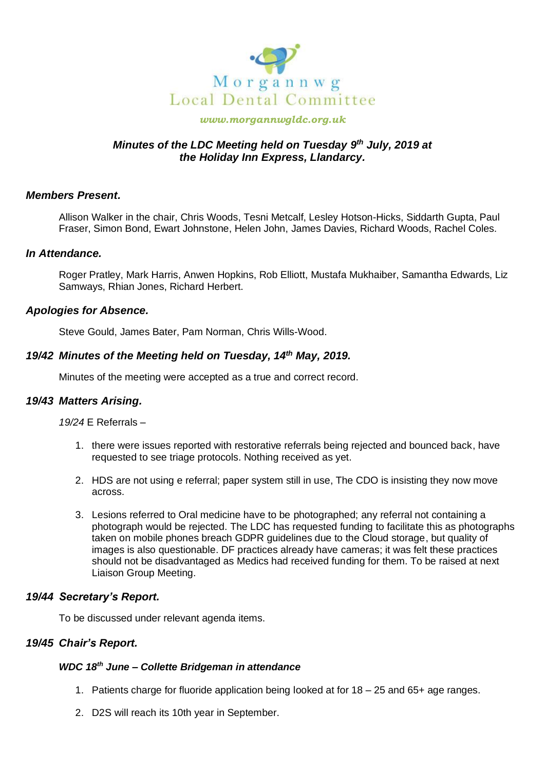

#### *www.morgannwgldc.org.uk*

# *Minutes of the LDC Meeting held on Tuesday 9 th July, 2019 at the Holiday Inn Express, Llandarcy.*

### *Members Present.*

Allison Walker in the chair, Chris Woods, Tesni Metcalf, Lesley Hotson-Hicks, Siddarth Gupta, Paul Fraser, Simon Bond, Ewart Johnstone, Helen John, James Davies, Richard Woods, Rachel Coles.

#### *In Attendance.*

Roger Pratley, Mark Harris, Anwen Hopkins, Rob Elliott, Mustafa Mukhaiber, Samantha Edwards, Liz Samways, Rhian Jones, Richard Herbert.

#### *Apologies for Absence.*

Steve Gould, James Bater, Pam Norman, Chris Wills-Wood.

## *19/42 Minutes of the Meeting held on Tuesday, 14th May, 2019.*

Minutes of the meeting were accepted as a true and correct record.

### *19/43 Matters Arising.*

*19/24* E Referrals –

- 1. there were issues reported with restorative referrals being rejected and bounced back, have requested to see triage protocols. Nothing received as yet.
- 2. HDS are not using e referral; paper system still in use, The CDO is insisting they now move across.
- 3. Lesions referred to Oral medicine have to be photographed; any referral not containing a photograph would be rejected. The LDC has requested funding to facilitate this as photographs taken on mobile phones breach GDPR guidelines due to the Cloud storage, but quality of images is also questionable. DF practices already have cameras; it was felt these practices should not be disadvantaged as Medics had received funding for them. To be raised at next Liaison Group Meeting.

### *19/44 Secretary's Report.*

To be discussed under relevant agenda items.

### *19/45 Chair's Report.*

# *WDC 18th June – Collette Bridgeman in attendance*

- 1. Patients charge for fluoride application being looked at for 18 25 and 65+ age ranges.
- 2. D2S will reach its 10th year in September.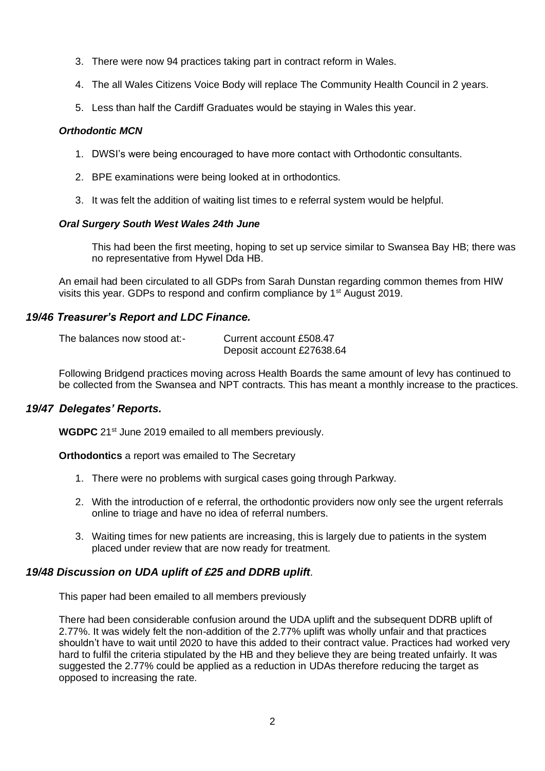- 3. There were now 94 practices taking part in contract reform in Wales.
- 4. The all Wales Citizens Voice Body will replace The Community Health Council in 2 years.
- 5. Less than half the Cardiff Graduates would be staying in Wales this year.

### *Orthodontic MCN*

- 1. DWSI's were being encouraged to have more contact with Orthodontic consultants.
- 2. BPE examinations were being looked at in orthodontics.
- 3. It was felt the addition of waiting list times to e referral system would be helpful.

## *Oral Surgery South West Wales 24th June*

This had been the first meeting, hoping to set up service similar to Swansea Bay HB; there was no representative from Hywel Dda HB.

An email had been circulated to all GDPs from Sarah Dunstan regarding common themes from HIW visits this year. GDPs to respond and confirm compliance by  $1<sup>st</sup>$  August 2019.

# *19/46 Treasurer's Report and LDC Finance.*

| The balances now stood at:- | Current account £508.47   |
|-----------------------------|---------------------------|
|                             | Deposit account £27638.64 |

Following Bridgend practices moving across Health Boards the same amount of levy has continued to be collected from the Swansea and NPT contracts. This has meant a monthly increase to the practices.

# *19/47 Delegates' Reports.*

**WGDPC** 21<sup>st</sup> June 2019 emailed to all members previously.

**Orthodontics** a report was emailed to The Secretary

- 1. There were no problems with surgical cases going through Parkway.
- 2. With the introduction of e referral, the orthodontic providers now only see the urgent referrals online to triage and have no idea of referral numbers.
- 3. Waiting times for new patients are increasing, this is largely due to patients in the system placed under review that are now ready for treatment.

# *19/48 Discussion on UDA uplift of £25 and DDRB uplift.*

This paper had been emailed to all members previously

There had been considerable confusion around the UDA uplift and the subsequent DDRB uplift of 2.77%. It was widely felt the non-addition of the 2.77% uplift was wholly unfair and that practices shouldn't have to wait until 2020 to have this added to their contract value. Practices had worked very hard to fulfil the criteria stipulated by the HB and they believe they are being treated unfairly. It was suggested the 2.77% could be applied as a reduction in UDAs therefore reducing the target as opposed to increasing the rate.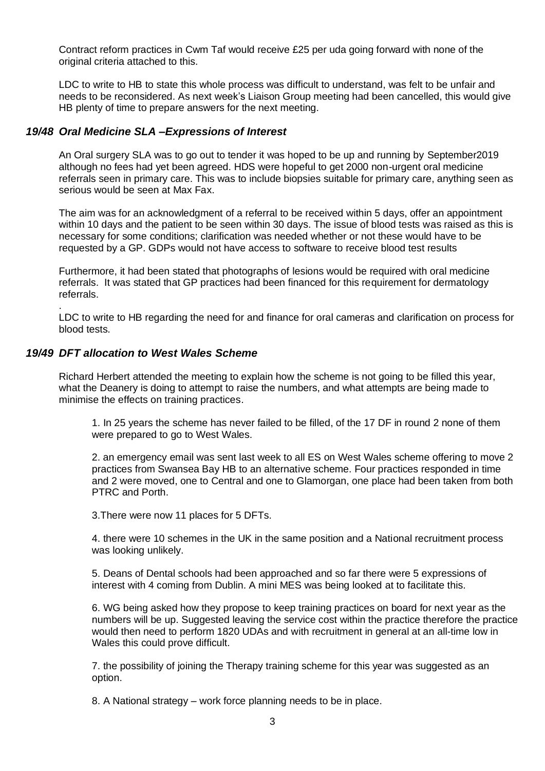Contract reform practices in Cwm Taf would receive £25 per uda going forward with none of the original criteria attached to this.

LDC to write to HB to state this whole process was difficult to understand, was felt to be unfair and needs to be reconsidered. As next week's Liaison Group meeting had been cancelled, this would give HB plenty of time to prepare answers for the next meeting.

### *19/48 Oral Medicine SLA –Expressions of Interest*

An Oral surgery SLA was to go out to tender it was hoped to be up and running by September2019 although no fees had yet been agreed. HDS were hopeful to get 2000 non-urgent oral medicine referrals seen in primary care. This was to include biopsies suitable for primary care, anything seen as serious would be seen at Max Fax.

The aim was for an acknowledgment of a referral to be received within 5 days, offer an appointment within 10 days and the patient to be seen within 30 days. The issue of blood tests was raised as this is necessary for some conditions; clarification was needed whether or not these would have to be requested by a GP. GDPs would not have access to software to receive blood test results

Furthermore, it had been stated that photographs of lesions would be required with oral medicine referrals. It was stated that GP practices had been financed for this requirement for dermatology referrals.

LDC to write to HB regarding the need for and finance for oral cameras and clarification on process for blood tests.

#### *19/49 DFT allocation to West Wales Scheme*

.

Richard Herbert attended the meeting to explain how the scheme is not going to be filled this year, what the Deanery is doing to attempt to raise the numbers, and what attempts are being made to minimise the effects on training practices.

1. In 25 years the scheme has never failed to be filled, of the 17 DF in round 2 none of them were prepared to go to West Wales.

2. an emergency email was sent last week to all ES on West Wales scheme offering to move 2 practices from Swansea Bay HB to an alternative scheme. Four practices responded in time and 2 were moved, one to Central and one to Glamorgan, one place had been taken from both PTRC and Porth.

3.There were now 11 places for 5 DFTs.

4. there were 10 schemes in the UK in the same position and a National recruitment process was looking unlikely.

5. Deans of Dental schools had been approached and so far there were 5 expressions of interest with 4 coming from Dublin. A mini MES was being looked at to facilitate this.

6. WG being asked how they propose to keep training practices on board for next year as the numbers will be up. Suggested leaving the service cost within the practice therefore the practice would then need to perform 1820 UDAs and with recruitment in general at an all-time low in Wales this could prove difficult.

7. the possibility of joining the Therapy training scheme for this year was suggested as an option.

8. A National strategy – work force planning needs to be in place.